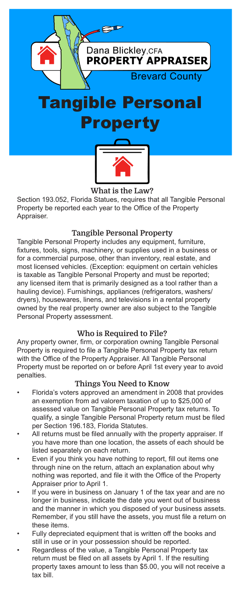

### What is the Law?

Section 193.052, Florida Statues, requires that all Tangible Personal Property be reported each year to the Office of the Property Appraiser.

## Tangible Personal Property

Tangible Personal Property includes any equipment, furniture, fixtures, tools, signs, machinery, or supplies used in a business or for a commercial purpose, other than inventory, real estate, and most licensed vehicles. (Exception: equipment on certain vehicles is taxable as Tangible Personal Property and must be reported; any licensed item that is primarily designed as a tool rather than a hauling device). Furnishings, appliances (refrigerators, washers/ dryers), housewares, linens, and televisions in a rental property owned by the real property owner are also subject to the Tangible Personal Property assessment.

### Who is Required to File?

Any property owner, firm, or corporation owning Tangible Personal Property is required to file a Tangible Personal Property tax return with the Office of the Property Appraiser. All Tangible Personal Property must be reported on or before April 1st every year to avoid penalties.

### Things You Need to Know

- Florida's voters approved an amendment in 2008 that provides an exemption from ad valorem taxation of up to \$25,000 of assessed value on Tangible Personal Property tax returns. To qualify, a single Tangible Personal Property return must be filed per Section 196.183, Florida Statutes.
- All returns must be filed annually with the property appraiser. If you have more than one location, the assets of each should be listed separately on each return.
- Even if you think you have nothing to report, fill out items one through nine on the return, attach an explanation about why nothing was reported, and file it with the Office of the Property Appraiser prior to April 1.
- If you were in business on January 1 of the tax year and are no longer in business, indicate the date you went out of business and the manner in which you disposed of your business assets. Remember, if you still have the assets, you must file a return on these items.
- Fully depreciated equipment that is written off the books and still in use or in your possession should be reported.
- Regardless of the value, a Tangible Personal Property tax return must be filed on all assets by April 1. If the resulting property taxes amount to less than \$5.00, you will not receive a tax bill.